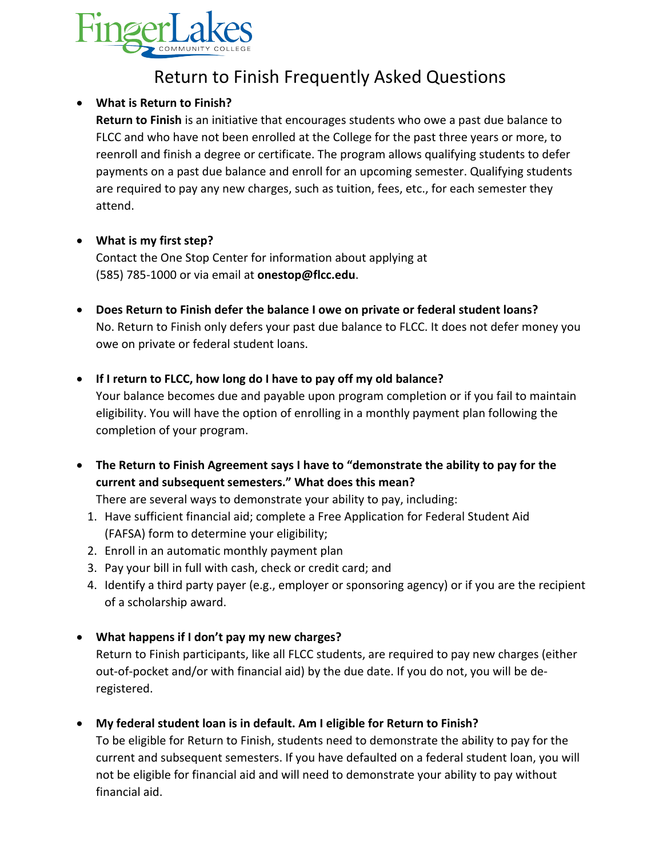

# Return to Finish Frequently Asked Questions

# **What is Return to Finish?**

**Return to Finish** is an initiative that encourages students who owe a past due balance to FLCC and who have not been enrolled at the College for the past three years or more, to reenroll and finish a degree or certificate. The program allows qualifying students to defer payments on a past due balance and enroll for an upcoming semester. Qualifying students are required to pay any new charges, such as tuition, fees, etc., for each semester they attend.

# **What is my first step?**

Contact the One Stop Center for information about applying at (585) 785-1000 or via email at **onestop@flcc.edu**.

- **Does Return to Finish defer the balance I owe on private or federal student loans?** No. Return to Finish only defers your past due balance to FLCC. It does not defer money you owe on private or federal student loans.
- **If I return to FLCC, how long do I have to pay off my old balance?**  Your balance becomes due and payable upon program completion or if you fail to maintain eligibility. You will have the option of enrolling in a monthly payment plan following the completion of your program.
- **The Return to Finish Agreement says I have to "demonstrate the ability to pay for the current and subsequent semesters." What does this mean?**

There are several ways to demonstrate your ability to pay, including:

- 1. Have sufficient financial aid; complete a Free Application for Federal Student Aid (FAFSA) form to determine your eligibility;
- 2. Enroll in an automatic monthly payment plan
- 3. Pay your bill in full with cash, check or credit card; and
- 4. Identify a third party payer (e.g., employer or sponsoring agency) or if you are the recipient of a scholarship award.
- **What happens if I don't pay my new charges?**

Return to Finish participants, like all FLCC students, are required to pay new charges (either out-of-pocket and/or with financial aid) by the due date. If you do not, you will be deregistered.

**My federal student loan is in default. Am I eligible for Return to Finish?** 

To be eligible for Return to Finish, students need to demonstrate the ability to pay for the current and subsequent semesters. If you have defaulted on a federal student loan, you will not be eligible for financial aid and will need to demonstrate your ability to pay without financial aid.